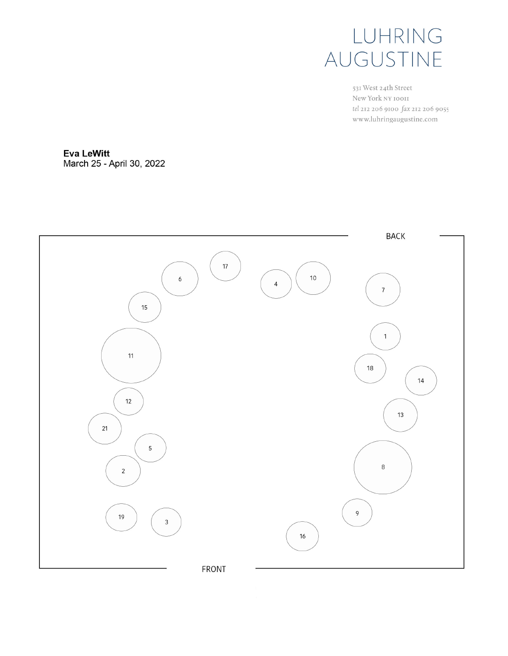

531 West 24th Street New York NY 10011 tel 212 206 9100 fax 212 206 9055 www.luhringaugustine.com

**Eva LeWitt** March 25 - April 30, 2022

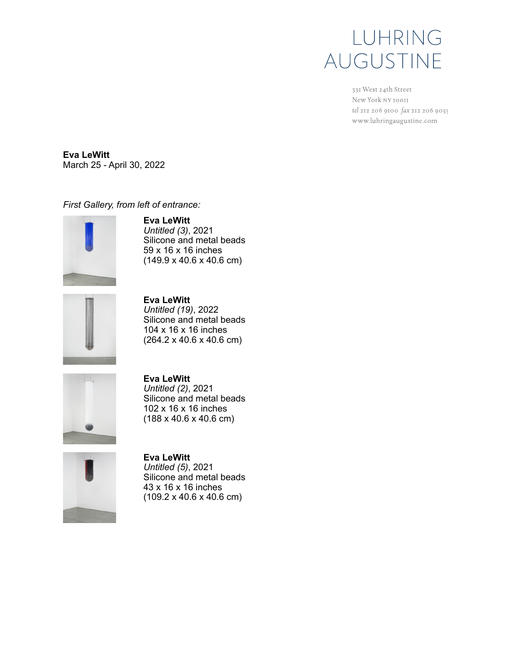531 West 24th Street New York NY 10011 tel 212 206 9100 fax 212 206 9055 www.luhringaugustine.com

**Eva LeWitt**  March 25 - April 30, 2022

*First Gallery, from left of entrance:*



**Eva LeWitt** *Untitled (3)*, 2021 Silicone and metal beads 59 x 16 x 16 inches (149.9 x 40.6 x 40.6 cm)



**Eva LeWitt** *Untitled (19)*, 2022 Silicone and metal beads 104 x 16 x 16 inches (264.2 x 40.6 x 40.6 cm)



**Eva LeWitt** *Untitled (2)*, 2021 Silicone and metal beads 102 x 16 x 16 inches (188 x 40.6 x 40.6 cm)



**Eva LeWitt** *Untitled (5)*, 2021 Silicone and metal beads 43 x 16 x 16 inches (109.2 x 40.6 x 40.6 cm)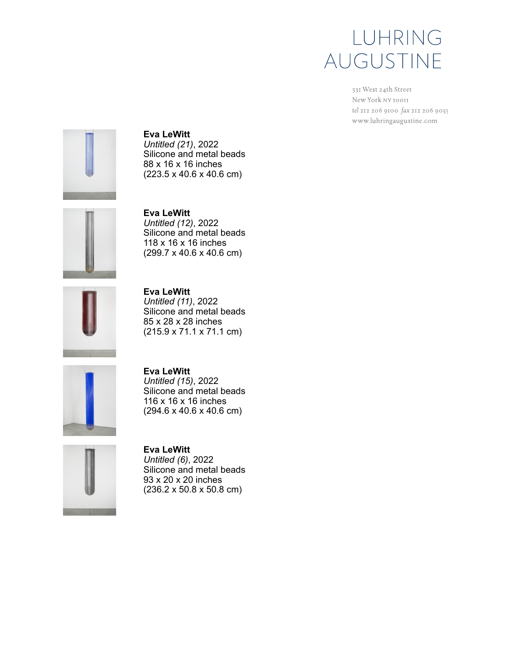531 West 24th Street New York NY 10011 tel 212 206 9100 fax 212 206 9055 www.luhringaugustine.com



**Eva LeWitt** *Untitled (21)*, 2022 Silicone and metal beads 88 x 16 x 16 inches (223.5 x 40.6 x 40.6 cm)



**Eva LeWitt** *Untitled (12)*, 2022 Silicone and metal beads 118 x 16 x 16 inches (299.7 x 40.6 x 40.6 cm)



**Eva LeWitt** *Untitled (11)*, 2022 Silicone and metal beads 85 x 28 x 28 inches (215.9 x 71.1 x 71.1 cm)



**Eva LeWitt** *Untitled (15)*, 2022 Silicone and metal beads 116 x 16 x 16 inches (294.6 x 40.6 x 40.6 cm)



**Eva LeWitt** *Untitled (6)*, 2022 Silicone and metal beads 93 x 20 x 20 inches (236.2 x 50.8 x 50.8 cm)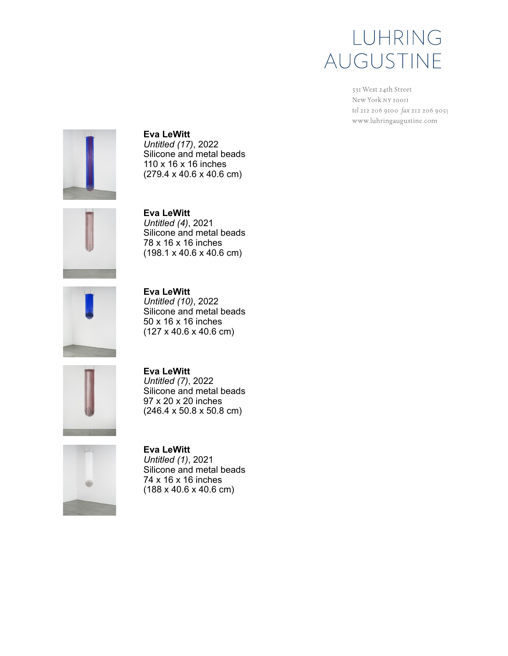531 West 24th Street New York NY 10011 tel 212 206 9100 fax 212 206 9055 www.luhringaugustine.com



**Eva LeWitt** *Untitled (17)*, 2022 Silicone and metal beads 110 x 16 x 16 inches (279.4 x 40.6 x 40.6 cm)



**Eva LeWitt** *Untitled (4)*, 2021 Silicone and metal beads 78 x 16 x 16 inches (198.1 x 40.6 x 40.6 cm)



**Eva LeWitt** *Untitled (10)*, 2022 Silicone and metal beads 50 x 16 x 16 inches (127 x 40.6 x 40.6 cm)



**Eva LeWitt** *Untitled (7)*, 2022 Silicone and metal beads 97 x 20 x 20 inches (246.4 x 50.8 x 50.8 cm)



**Eva LeWitt** *Untitled (1)*, 2021 Silicone and metal beads 74 x 16 x 16 inches (188 x 40.6 x 40.6 cm)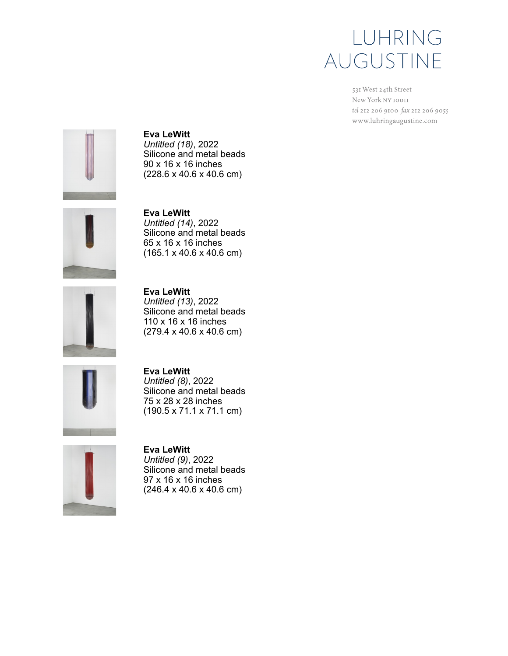531 West 24th Street New York NY 10011 tel 212 206 9100 fax 212 206 9055 www.luhringaugustine.com



**Eva LeWitt** *Untitled (18)*, 2022 Silicone and metal beads 90 x 16 x 16 inches (228.6 x 40.6 x 40.6 cm)



**Eva LeWitt** *Untitled (14)*, 2022 Silicone and metal beads 65 x 16 x 16 inches (165.1 x 40.6 x 40.6 cm)



**Eva LeWitt** *Untitled (13)*, 2022 Silicone and metal beads 110 x 16 x 16 inches (279.4 x 40.6 x 40.6 cm)



**Eva LeWitt** *Untitled (8)*, 2022 Silicone and metal beads 75 x 28 x 28 inches (190.5 x 71.1 x 71.1 cm)



**Eva LeWitt** *Untitled (9)*, 2022 Silicone and metal beads 97 x 16 x 16 inches (246.4 x 40.6 x 40.6 cm)